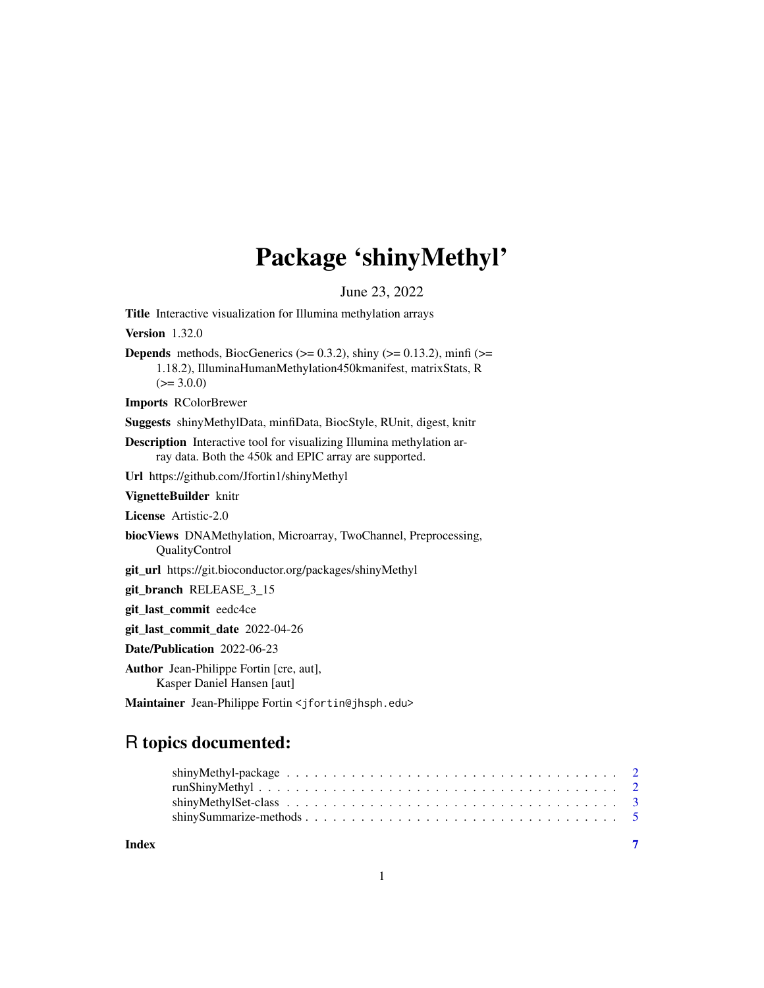# Package 'shinyMethyl'

<span id="page-0-0"></span>June 23, 2022 Title Interactive visualization for Illumina methylation arrays Version 1.32.0 **Depends** methods, BiocGenerics ( $> = 0.3.2$ ), shiny ( $> = 0.13.2$ ), minfi ( $> =$ 1.18.2), IlluminaHumanMethylation450kmanifest, matrixStats, R  $(>= 3.0.0)$ Imports RColorBrewer Suggests shinyMethylData, minfiData, BiocStyle, RUnit, digest, knitr Description Interactive tool for visualizing Illumina methylation array data. Both the 450k and EPIC array are supported. Url https://github.com/Jfortin1/shinyMethyl VignetteBuilder knitr License Artistic-2.0 biocViews DNAMethylation, Microarray, TwoChannel, Preprocessing, QualityControl git\_url https://git.bioconductor.org/packages/shinyMethyl git\_branch RELEASE\_3\_15 git\_last\_commit eedc4ce git\_last\_commit\_date 2022-04-26 Date/Publication 2022-06-23 Author Jean-Philippe Fortin [cre, aut], Kasper Daniel Hansen [aut] Maintainer Jean-Philippe Fortin <jfortin@jhsph.edu>

# R topics documented:

| Index |  |
|-------|--|

1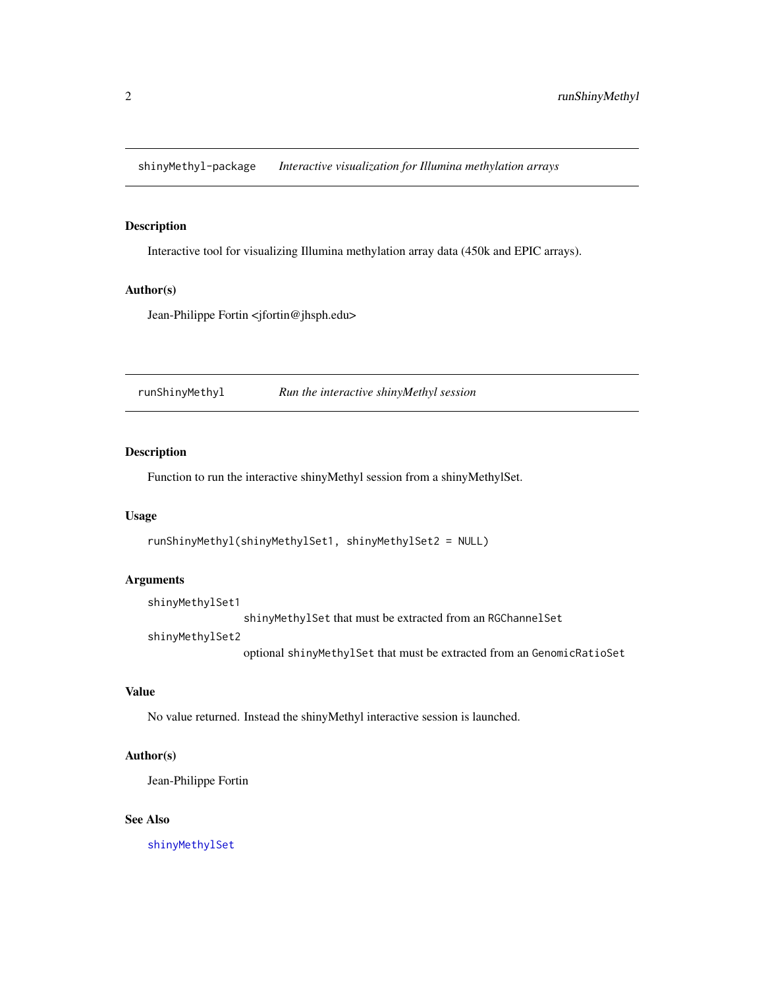<span id="page-1-0"></span>shinyMethyl-package *Interactive visualization for Illumina methylation arrays*

# Description

Interactive tool for visualizing Illumina methylation array data (450k and EPIC arrays).

#### Author(s)

Jean-Philippe Fortin <jfortin@jhsph.edu>

runShinyMethyl *Run the interactive shinyMethyl session*

# Description

Function to run the interactive shinyMethyl session from a shinyMethylSet.

#### Usage

```
runShinyMethyl(shinyMethylSet1, shinyMethylSet2 = NULL)
```
#### Arguments

```
shinyMethylSet1
```
shinyMethylSet that must be extracted from an RGChannelSet

shinyMethylSet2

optional shinyMethylSet that must be extracted from an GenomicRatioSet

### Value

No value returned. Instead the shinyMethyl interactive session is launched.

#### Author(s)

Jean-Philippe Fortin

#### See Also

[shinyMethylSet](#page-2-1)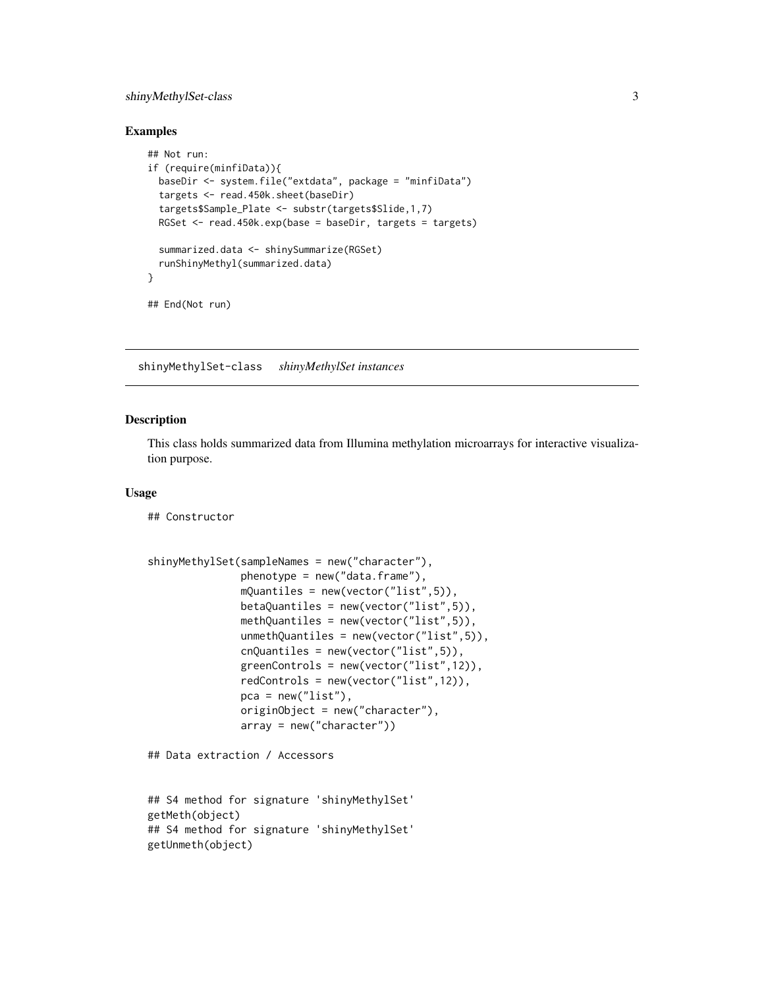# <span id="page-2-0"></span>shinyMethylSet-class 3

#### Examples

```
## Not run:
if (require(minfiData)){
  baseDir <- system.file("extdata", package = "minfiData")
  targets <- read.450k.sheet(baseDir)
  targets$Sample_Plate <- substr(targets$Slide,1,7)
  RGSet <- read.450k.exp(base = baseDir, targets = targets)
  summarized.data <- shinySummarize(RGSet)
  runShinyMethyl(summarized.data)
}
## End(Not run)
```
shinyMethylSet-class *shinyMethylSet instances*

#### <span id="page-2-1"></span>**Description**

This class holds summarized data from Illumina methylation microarrays for interactive visualization purpose.

#### Usage

## Constructor

```
shinyMethylSet(sampleNames = new("character"),
               phenotype = new('data-frame''),
               mQuantiles = new(vector("list",5)),
               betaQuantiles = new(vector("list",5)),
              methQuantiles = new(vector("list",5)),
               unmethQuantiles = new(vector("list",5)),
               cnQuantiles = new(vector("list",5)),
               greenControls = new(vector("list",12)),
               redControls = new(vector("list",12)),
               pca = new("list"),
               originObject = new("character"),
               array = new("character"))
```

```
## Data extraction / Accessors
```

```
## S4 method for signature 'shinyMethylSet'
getMeth(object)
## S4 method for signature 'shinyMethylSet'
getUnmeth(object)
```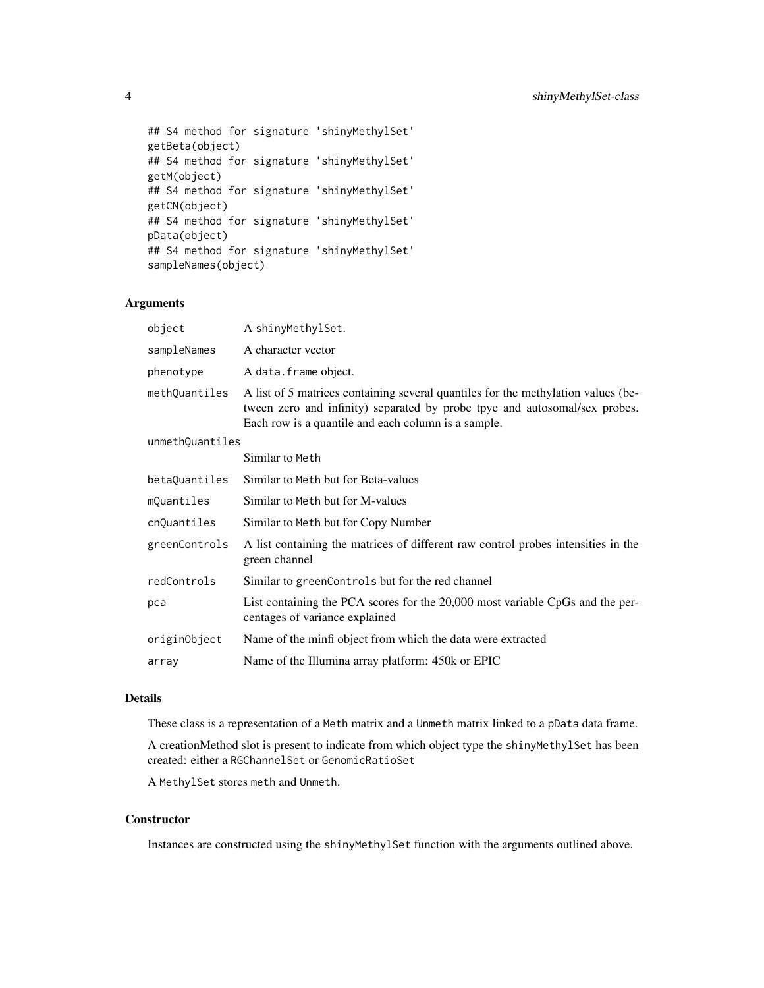```
## S4 method for signature 'shinyMethylSet'
getBeta(object)
## S4 method for signature 'shinyMethylSet'
getM(object)
## S4 method for signature 'shinyMethylSet'
getCN(object)
## S4 method for signature 'shinyMethylSet'
pData(object)
## S4 method for signature 'shinyMethylSet'
sampleNames(object)
```
# Arguments

| object          | A shinyMethylSet.                                                                                                                                                                                                      |  |  |
|-----------------|------------------------------------------------------------------------------------------------------------------------------------------------------------------------------------------------------------------------|--|--|
| sampleNames     | A character vector                                                                                                                                                                                                     |  |  |
| phenotype       | A data.frame object.                                                                                                                                                                                                   |  |  |
| methQuantiles   | A list of 5 matrices containing several quantiles for the methylation values (be-<br>tween zero and infinity) separated by probe tpye and autosomal/sex probes.<br>Each row is a quantile and each column is a sample. |  |  |
| unmethQuantiles |                                                                                                                                                                                                                        |  |  |
|                 | Similar to Meth                                                                                                                                                                                                        |  |  |
| betaQuantiles   | Similar to Meth but for Beta-values                                                                                                                                                                                    |  |  |
| mQuantiles      | Similar to Meth but for M-values                                                                                                                                                                                       |  |  |
| cnQuantiles     | Similar to Meth but for Copy Number                                                                                                                                                                                    |  |  |
| greenControls   | A list containing the matrices of different raw control probes intensities in the<br>green channel                                                                                                                     |  |  |
| redControls     | Similar to green Controls but for the red channel                                                                                                                                                                      |  |  |
| pca             | List containing the PCA scores for the 20,000 most variable CpGs and the per-<br>centages of variance explained                                                                                                        |  |  |
| originObject    | Name of the minfi object from which the data were extracted                                                                                                                                                            |  |  |
| array           | Name of the Illumina array platform: 450k or EPIC                                                                                                                                                                      |  |  |

#### Details

These class is a representation of a Meth matrix and a Unmeth matrix linked to a pData data frame.

A creationMethod slot is present to indicate from which object type the shinyMethylSet has been created: either a RGChannelSet or GenomicRatioSet

A MethylSet stores meth and Unmeth.

## **Constructor**

Instances are constructed using the shinyMethylSet function with the arguments outlined above.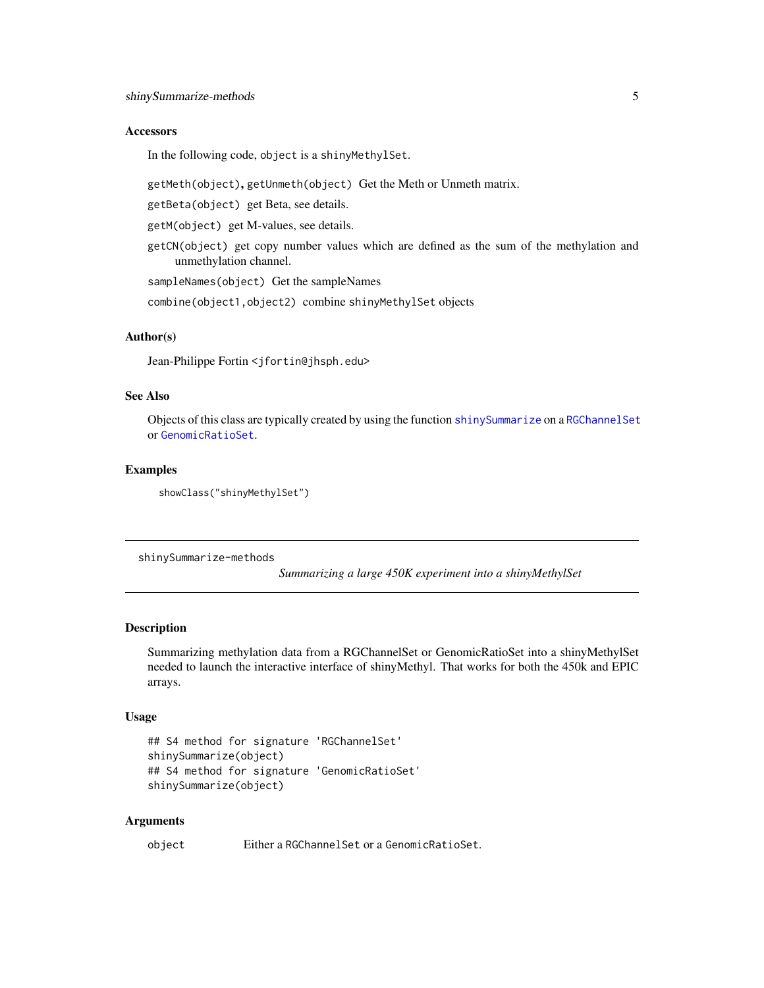#### <span id="page-4-0"></span>**Accessors**

In the following code, object is a shinyMethylSet.

getMeth(object), getUnmeth(object) Get the Meth or Unmeth matrix.

getBeta(object) get Beta, see details.

getM(object) get M-values, see details.

getCN(object) get copy number values which are defined as the sum of the methylation and unmethylation channel.

sampleNames(object) Get the sampleNames

combine(object1,object2) combine shinyMethylSet objects

#### Author(s)

Jean-Philippe Fortin <jfortin@jhsph.edu>

#### See Also

Objects of this class are typically created by using the function [shinySummarize](#page-4-1) on a [RGChannelSet](#page-0-0) or [GenomicRatioSet](#page-0-0).

#### Examples

showClass("shinyMethylSet")

shinySummarize-methods

*Summarizing a large 450K experiment into a shinyMethylSet*

#### <span id="page-4-1"></span>Description

Summarizing methylation data from a RGChannelSet or GenomicRatioSet into a shinyMethylSet needed to launch the interactive interface of shinyMethyl. That works for both the 450k and EPIC arrays.

#### Usage

```
## S4 method for signature 'RGChannelSet'
shinySummarize(object)
## S4 method for signature 'GenomicRatioSet'
shinySummarize(object)
```
#### Arguments

object Either a RGChannelSet or a GenomicRatioSet.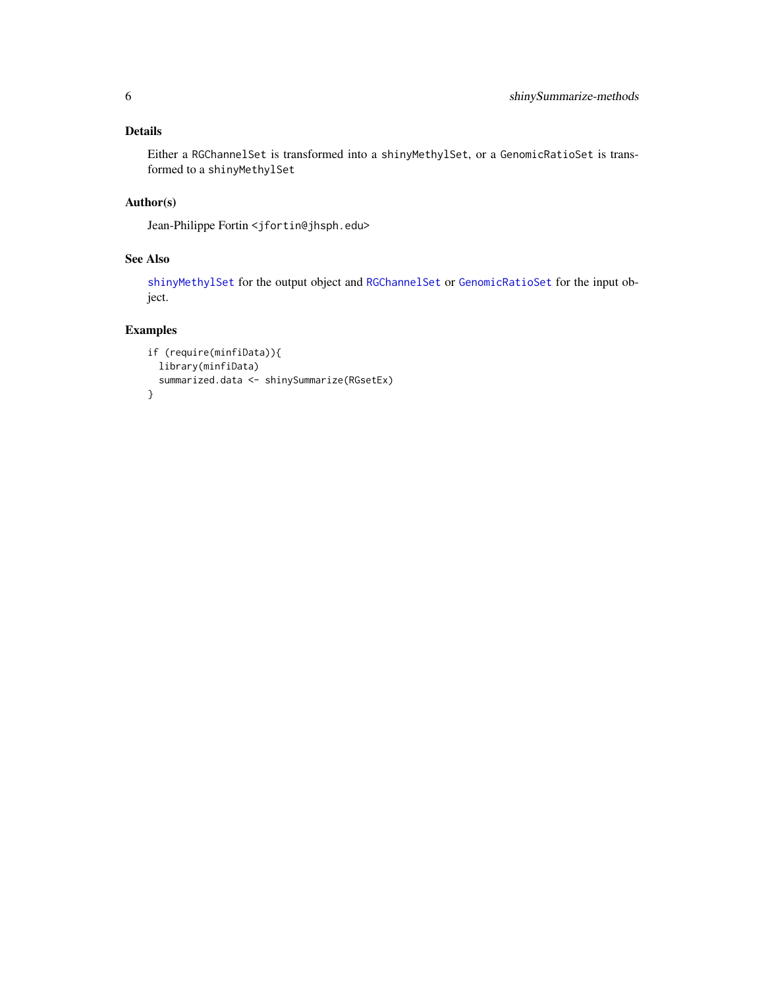# <span id="page-5-0"></span>Details

Either a RGChannelSet is transformed into a shinyMethylSet, or a GenomicRatioSet is transformed to a shinyMethylSet

# Author(s)

Jean-Philippe Fortin <jfortin@jhsph.edu>

# See Also

[shinyMethylSet](#page-2-1) for the output object and [RGChannelSet](#page-0-0) or [GenomicRatioSet](#page-0-0) for the input object.

# Examples

```
if (require(minfiData)){
 library(minfiData)
  summarized.data <- shinySummarize(RGsetEx)
}
```